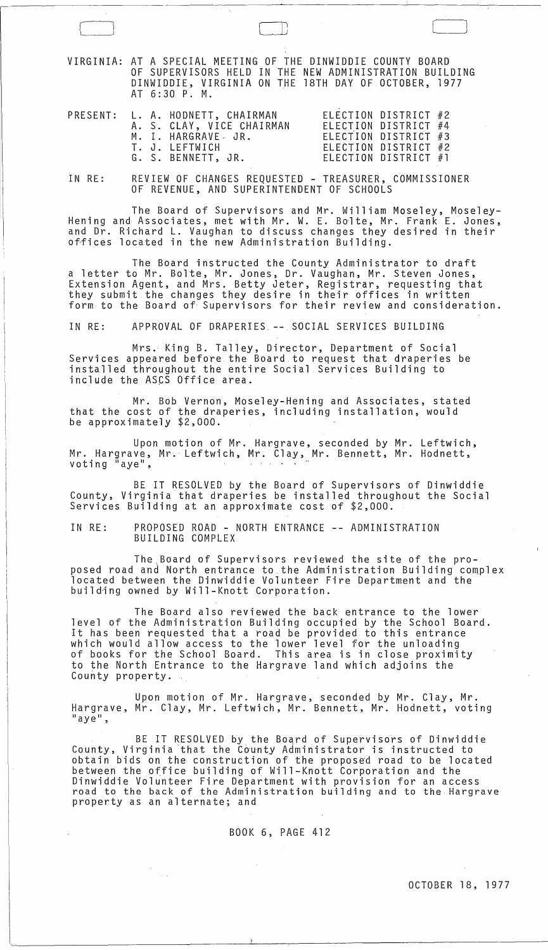VIRGINIA: AT A SPECIAL MEETING OF THE DINWIDDIE COUNTY BOARD OF SUPERVISORS HELD IN THE NEW ADMINISTRATION BUILDING DINWIDDIE, VIRGINIA ON THE 18TH DAY OF OCTOBER, 1977 AT 6:30 P. M.

 $\Box$ 

|  | PRESENT: L. A. HODNETT, CHAIRMAN<br>A. S. CLAY, VICE CHAIRMAN<br>M. I. HARGRAVE JR.<br>T. J. LEFTWICH<br>G. S. BENNETT, JR. | ELECTION DISTRICT #2<br>ELECTION DISTRICT #4<br>ELECTION DISTRICT #3<br>ELECTION DISTRICT #2<br>ELECTION DISTRICT #1 |
|--|-----------------------------------------------------------------------------------------------------------------------------|----------------------------------------------------------------------------------------------------------------------|

IN RE: REVIEW OF CHANGES REQUESTED - TREASURER, COMMISSIONER OF REVENUE, AND SUPERINTENDENT OF SCHOOLS

The Board of Supervisors and Mr. William Moseley, Moseley- Hening and Associates, met with Mr. W. E. Bo'lte, Mr. Frank E. Jones, and Dr. Richard **L.** Vaughan to discuss changes they desired in their offices located in the new Administration Building.

The Board instructed the County Administrator to draft a letter to Mr. Bolte, Mr. Jones, Dr. Vaughan, Mr. Steven Jones, Extension Agent, and Mrs. Betty Jeter, Registrar, requesting that they submit.the changes they desire in their offices in written form to the Board of Supervisors for their review and consideration.

IN RE: APPROVAL OF DRAPERIES. **--** SOCIAL SERVICES BUILDING

Mrs. King B. Talley, Director, Department of Social Services appeared before the Board to request that draperies be installed throughout the entire Social Services Building to include the ASCS Office area.

Mr. Bob Vernon, Moseley-Hening and Associates, stated that the cost of the draperies, including installation, would be approximately \$2,000.

Upon motion of Mr. Hargrave, seconded by Mr. Leftwich, Mr. Hargrave, Mr. Leftwich, Mr. Clay, Mr. Bennett, Mr. Hodnett, voting "aye",

BE IT RESOLVED by the Board of Supervisors of Dinwiddie County, Virginia that draperies be installed throughout the Social Services Building at an approximate cost of \$2,000.

IN RE: PROPOSED ROAD - NORTH ENTRANCE **--** ADMINISTRATION BUILDING COMPLEX

The Board of Supervisors reviewed the site of the pro-<br>posed road and North entrance to the Administration Building complex located between the Dinwiddie Volunteer Fire Department and the building owned by Will-Knott Corporation.

The Board also reviewed the back entrance to the lower level of the Administration Building occupied by the School Board. It has been requested that a road be provided to this entrance which would allow access to the lower level for the unloading of books for the School Board. This area is in close proximity to the North Entrance to the Hargrave land which adjoins the County property.

Upon motion of Mr. Hargrave, seconded by Mr. Clay, Mr. Hargrave, Mr. Clay, Mr. Leftwich, Mr. Bennett, Mr. Hodnett, voting<br>"aye",

BE IT RESOLVED by the Board of Supervisors of Dinwiddie County, Virginia that the County Administrator is instructed to obtain bids on the construction of the proposed road to be located between the office building of Will-Knott Corporation and the Dinwiddie Volunteer Fire Department with provision for an access road to the back of the Administration building and to the Hargrave property as an alternate; and

BOOK 6, PAGE 412

 $\sim 10^{11}$ 

 $\mathbf{z} = \mathbf{z}$ 

OCTOBER 18, 1977

 $\sim 10^{11}$